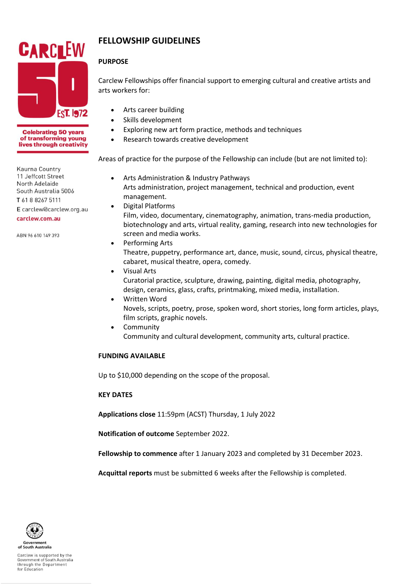

**Celebrating 50 years** of transforming young lives through creativity

Kaurna Country 11 Jeffcott Street **North Adelaide** South Australia 5006 T 61 8 8267 5111 E carclew@carclew.org.au carclew.com.au

ABN 96 610 149 393

# **FELLOWSHIP GUIDELINES**

# **PURPOSE**

Carclew Fellowships offer financial support to emerging cultural and creative artists and arts workers for:

- Arts career building
- Skills development
- Exploring new art form practice, methods and techniques
- Research towards creative development

Areas of practice for the purpose of the Fellowship can include (but are not limited to):

- Arts Administration & Industry Pathways Arts administration, project management, technical and production, event management.
	- Digital Platforms Film, video, documentary, cinematography, animation, trans-media production, biotechnology and arts, virtual reality, gaming, research into new technologies for screen and media works.
- Performing Arts Theatre, puppetry, performance art, dance, music, sound, circus, physical theatre, cabaret, musical theatre, opera, comedy.
- Visual Arts Curatorial practice, sculpture, drawing, painting, digital media, photography, design, ceramics, glass, crafts, printmaking, mixed media, installation.
- Written Word Novels, scripts, poetry, prose, spoken word, short stories, long form articles, plays, film scripts, graphic novels.
- **Community** Community and cultural development, community arts, cultural practice.

### **FUNDING AVAILABLE**

Up to \$10,000 depending on the scope of the proposal.

### **KEY DATES**

**Applications close** 11:59pm (ACST) Thursday, 1 July 2022

**Notification of outcome** September 2022.

**Fellowship to commence** after 1 January 2023 and completed by 31 December 2023.

**Acquittal reports** must be submitted 6 weeks after the Fellowship is completed.

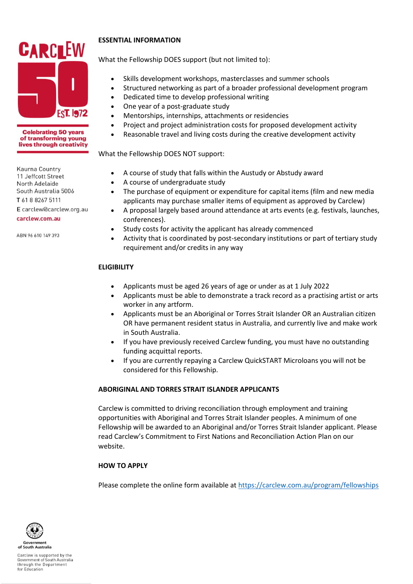

#### **Celebrating 50 years** of transforming young lives through creativity

Kaurna Country 11 Jeffcott Street **North Adelaide** South Australia 5006 T 61 8 8267 5111 E carclew@carclew.org.au carclew.com.au

ABN 96 610 149 393

# **ESSENTIAL INFORMATION**

What the Fellowship DOES support (but not limited to):

- Skills development workshops, masterclasses and summer schools
- Structured networking as part of a broader professional development program
- Dedicated time to develop professional writing
- One year of a post-graduate study
- Mentorships, internships, attachments or residencies
- Project and project administration costs for proposed development activity
- Reasonable travel and living costs during the creative development activity

What the Fellowship DOES NOT support:

- A course of study that falls within the Austudy or Abstudy award
- A course of undergraduate study
- The purchase of equipment or expenditure for capital items (film and new media applicants may purchase smaller items of equipment as approved by Carclew)
- A proposal largely based around attendance at arts events (e.g. festivals, launches, conferences).
- Study costs for activity the applicant has already commenced
- Activity that is coordinated by post-secondary institutions or part of tertiary study requirement and/or credits in any way

# **ELIGIBILITY**

- Applicants must be aged 26 years of age or under as at 1 July 2022
- Applicants must be able to demonstrate a track record as a practising artist or arts worker in any artform.
- Applicants must be an Aboriginal or Torres Strait Islander OR an Australian citizen OR have permanent resident status in Australia, and currently live and make work in South Australia.
- If you have previously received Carclew funding, you must have no outstanding funding acquittal reports.
- If you are currently repaying a Carclew QuickSTART Microloans you will not be considered for this Fellowship.

# **ABORIGINAL AND TORRES STRAIT ISLANDER APPLICANTS**

Carclew is committed to driving reconciliation through employment and training opportunities with Aboriginal and Torres Strait Islander peoples. A minimum of one Fellowship will be awarded to an Aboriginal and/or Torres Strait Islander applicant. Please read Carclew's Commitment to First Nations and Reconciliation Action Plan on our website.

# **HOW TO APPLY**

Please complete the online form available at <https://carclew.com.au/program/fellowships>



Carclew is supported by the Government of South Australia<br>through the Department for Education